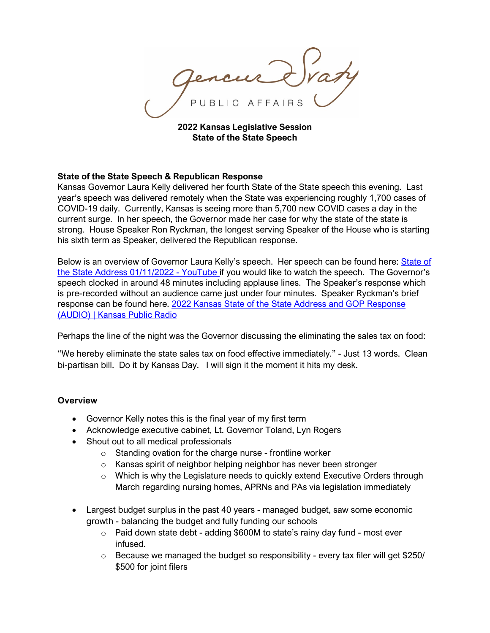PUBLIC AFFAIRS

**2022 Kansas Legislative Session State of the State Speech**

## **State of the State Speech & Republican Response**

Kansas Governor Laura Kelly delivered her fourth State of the State speech this evening. Last year's speech was delivered remotely when the State was experiencing roughly 1,700 cases of COVID-19 daily. Currently, Kansas is seeing more than 5,700 new COVID cases a day in the current surge. In her speech, the Governor made her case for why the state of the state is strong. House Speaker Ron Ryckman, the longest serving Speaker of the House who is starting his sixth term as Speaker, delivered the Republican response.

Below is an overview of Governor Laura Kelly's speech. Her speech can be found here: [State of](https://www.youtube.com/watch?v=PnwlhtiUBiY)  [the State Address 01/11/2022 -](https://www.youtube.com/watch?v=PnwlhtiUBiY) YouTube if you would like to watch the speech. The Governor's speech clocked in around 48 minutes including applause lines. The Speaker's response which is pre-recorded without an audience came just under four minutes. Speaker Ryckman's brief response can be found here. [2022 Kansas State of the State Address and GOP Response](https://kansaspublicradio.org/kpr-news/2022-kansas-state-state-address-and-republican-response)  [\(AUDIO\) | Kansas Public Radio](https://kansaspublicradio.org/kpr-news/2022-kansas-state-state-address-and-republican-response)

Perhaps the line of the night was the Governor discussing the eliminating the sales tax on food:

"We hereby eliminate the state sales tax on food effective immediately." - Just 13 words. Clean bi-partisan bill. Do it by Kansas Day. I will sign it the moment it hits my desk.

## **Overview**

- Governor Kelly notes this is the final year of my first term
- Acknowledge executive cabinet, Lt. Governor Toland, Lyn Rogers
- Shout out to all medical professionals
	- $\circ$  Standing ovation for the charge nurse frontline worker
	- o Kansas spirit of neighbor helping neighbor has never been stronger
	- o Which is why the Legislature needs to quickly extend Executive Orders through March regarding nursing homes, APRNs and PAs via legislation immediately
- Largest budget surplus in the past 40 years managed budget, saw some economic growth - balancing the budget and fully funding our schools
	- o Paid down state debt adding \$600M to state's rainy day fund most ever infused.
	- $\circ$  Because we managed the budget so responsibility every tax filer will get \$250/ \$500 for joint filers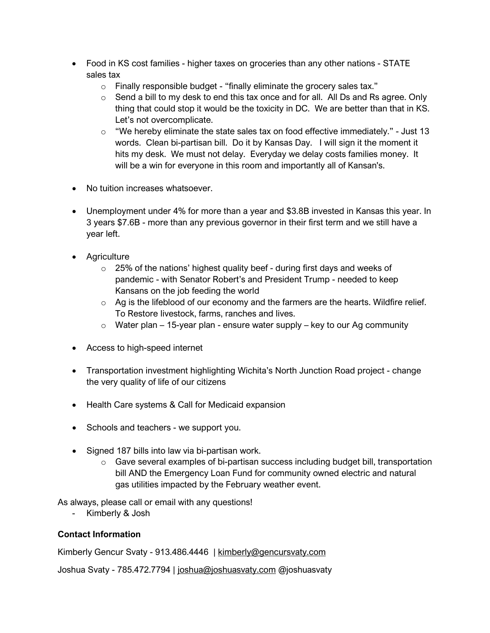- Food in KS cost families higher taxes on groceries than any other nations STATE sales tax
	- o Finally responsible budget "finally eliminate the grocery sales tax."
	- $\circ$  Send a bill to my desk to end this tax once and for all. All Ds and Rs agree. Only thing that could stop it would be the toxicity in DC. We are better than that in KS. Let's not overcomplicate.
	- o "We hereby eliminate the state sales tax on food effective immediately." Just 13 words. Clean bi-partisan bill. Do it by Kansas Day. I will sign it the moment it hits my desk. We must not delay. Everyday we delay costs families money. It will be a win for everyone in this room and importantly all of Kansan's.
- No tuition increases whatsoever.
- Unemployment under 4% for more than a year and \$3.8B invested in Kansas this year. In 3 years \$7.6B - more than any previous governor in their first term and we still have a year left.
- Agriculture
	- o 25% of the nations' highest quality beef during first days and weeks of pandemic - with Senator Robert's and President Trump - needed to keep Kansans on the job feeding the world
	- $\circ$  Ag is the lifeblood of our economy and the farmers are the hearts. Wildfire relief. To Restore livestock, farms, ranches and lives.
	- $\circ$  Water plan 15-year plan ensure water supply key to our Ag community
- Access to high-speed internet
- Transportation investment highlighting Wichita's North Junction Road project change the very quality of life of our citizens
- Health Care systems & Call for Medicaid expansion
- Schools and teachers we support you.
- Signed 187 bills into law via bi-partisan work.
	- $\circ$  Gave several examples of bi-partisan success including budget bill, transportation bill AND the Emergency Loan Fund for community owned electric and natural gas utilities impacted by the February weather event.

As always, please call or email with any questions!

- Kimberly & Josh

## **Contact Information**

Kimberly Gencur Svaty - 913.486.4446 | [kimberly@gencursvaty.com](mailto:kimberly@gencursvaty.com)

Joshua Svaty - 785.472.7794 | [joshua@joshuasvaty.com](mailto:joshua@joshuasvaty.com) @joshuasvaty